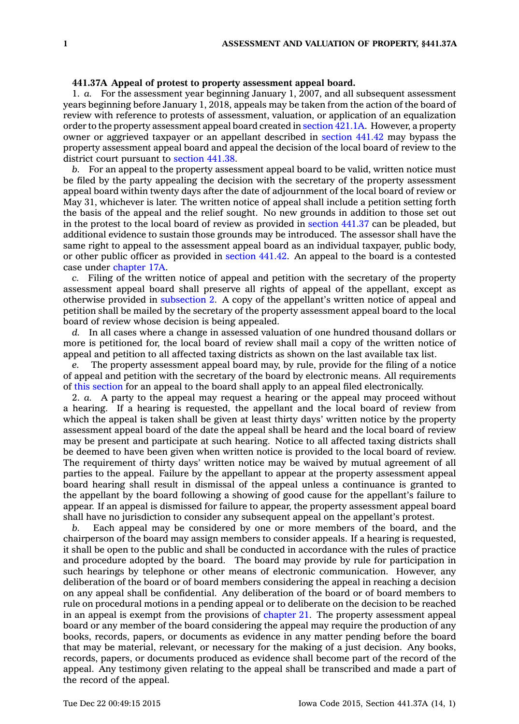## **441.37A Appeal of protest to property assessment appeal board.**

1. *a.* For the assessment year beginning January 1, 2007, and all subsequent assessment years beginning before January 1, 2018, appeals may be taken from the action of the board of review with reference to protests of assessment, valuation, or application of an equalization order to the property assessment appeal board created in [section](https://www.legis.iowa.gov/docs/code//421.1A.pdf) 421.1A. However, <sup>a</sup> property owner or aggrieved taxpayer or an appellant described in [section](https://www.legis.iowa.gov/docs/code//441.42.pdf) 441.42 may bypass the property assessment appeal board and appeal the decision of the local board of review to the district court pursuant to [section](https://www.legis.iowa.gov/docs/code//441.38.pdf) 441.38.

*b.* For an appeal to the property assessment appeal board to be valid, written notice must be filed by the party appealing the decision with the secretary of the property assessment appeal board within twenty days after the date of adjournment of the local board of review or May 31, whichever is later. The written notice of appeal shall include <sup>a</sup> petition setting forth the basis of the appeal and the relief sought. No new grounds in addition to those set out in the protest to the local board of review as provided in [section](https://www.legis.iowa.gov/docs/code//441.37.pdf) 441.37 can be pleaded, but additional evidence to sustain those grounds may be introduced. The assessor shall have the same right to appeal to the assessment appeal board as an individual taxpayer, public body, or other public officer as provided in [section](https://www.legis.iowa.gov/docs/code//441.42.pdf) 441.42. An appeal to the board is <sup>a</sup> contested case under [chapter](https://www.legis.iowa.gov/docs/code//17A.pdf) 17A.

*c.* Filing of the written notice of appeal and petition with the secretary of the property assessment appeal board shall preserve all rights of appeal of the appellant, except as otherwise provided in [subsection](https://www.legis.iowa.gov/docs/code//441.37A.pdf) 2. A copy of the appellant's written notice of appeal and petition shall be mailed by the secretary of the property assessment appeal board to the local board of review whose decision is being appealed.

*d.* In all cases where <sup>a</sup> change in assessed valuation of one hundred thousand dollars or more is petitioned for, the local board of review shall mail <sup>a</sup> copy of the written notice of appeal and petition to all affected taxing districts as shown on the last available tax list.

*e.* The property assessment appeal board may, by rule, provide for the filing of <sup>a</sup> notice of appeal and petition with the secretary of the board by electronic means. All requirements of this [section](https://www.legis.iowa.gov/docs/code//441.37A.pdf) for an appeal to the board shall apply to an appeal filed electronically.

2. *a.* A party to the appeal may request <sup>a</sup> hearing or the appeal may proceed without <sup>a</sup> hearing. If <sup>a</sup> hearing is requested, the appellant and the local board of review from which the appeal is taken shall be given at least thirty days' written notice by the property assessment appeal board of the date the appeal shall be heard and the local board of review may be present and participate at such hearing. Notice to all affected taxing districts shall be deemed to have been given when written notice is provided to the local board of review. The requirement of thirty days' written notice may be waived by mutual agreement of all parties to the appeal. Failure by the appellant to appear at the property assessment appeal board hearing shall result in dismissal of the appeal unless <sup>a</sup> continuance is granted to the appellant by the board following <sup>a</sup> showing of good cause for the appellant's failure to appear. If an appeal is dismissed for failure to appear, the property assessment appeal board shall have no jurisdiction to consider any subsequent appeal on the appellant's protest.

*b.* Each appeal may be considered by one or more members of the board, and the chairperson of the board may assign members to consider appeals. If <sup>a</sup> hearing is requested, it shall be open to the public and shall be conducted in accordance with the rules of practice and procedure adopted by the board. The board may provide by rule for participation in such hearings by telephone or other means of electronic communication. However, any deliberation of the board or of board members considering the appeal in reaching <sup>a</sup> decision on any appeal shall be confidential. Any deliberation of the board or of board members to rule on procedural motions in <sup>a</sup> pending appeal or to deliberate on the decision to be reached in an appeal is exempt from the provisions of [chapter](https://www.legis.iowa.gov/docs/code//21.pdf) 21. The property assessment appeal board or any member of the board considering the appeal may require the production of any books, records, papers, or documents as evidence in any matter pending before the board that may be material, relevant, or necessary for the making of <sup>a</sup> just decision. Any books, records, papers, or documents produced as evidence shall become part of the record of the appeal. Any testimony given relating to the appeal shall be transcribed and made <sup>a</sup> part of the record of the appeal.